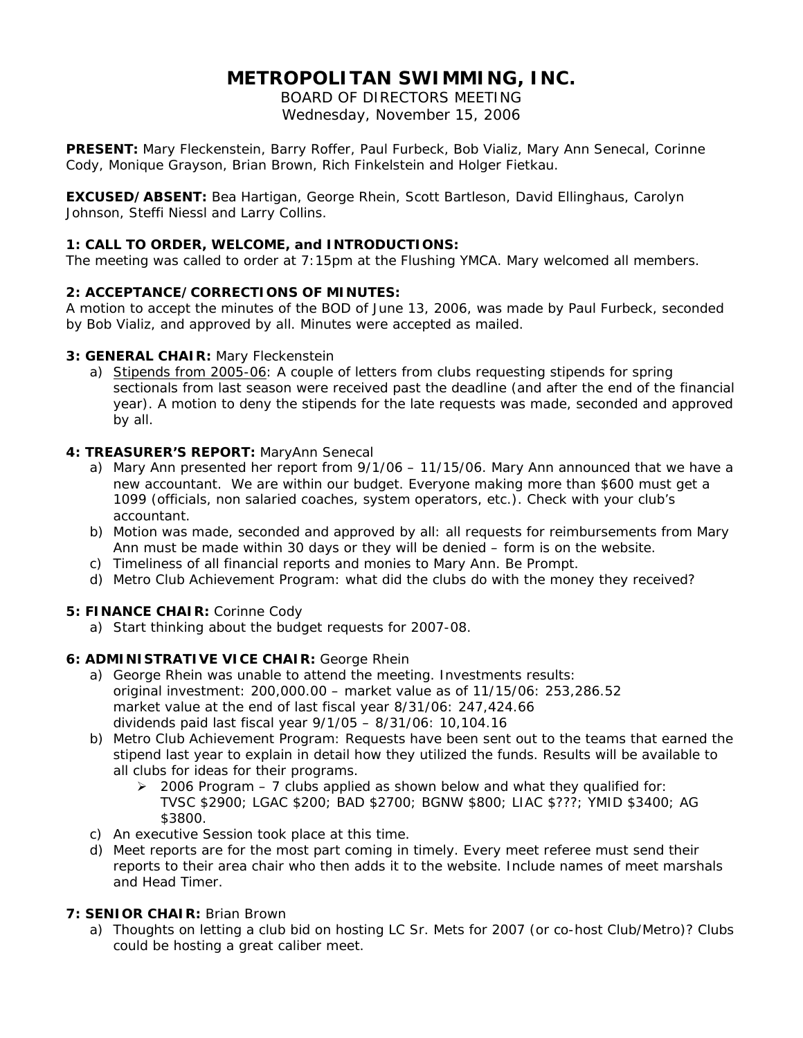# **METROPOLITAN SWIMMING, INC.**

BOARD OF DIRECTORS MEETING Wednesday, November 15, 2006

**PRESENT:** Mary Fleckenstein, Barry Roffer, Paul Furbeck, Bob Vializ, Mary Ann Senecal, Corinne Cody, Monique Grayson, Brian Brown, Rich Finkelstein and Holger Fietkau.

**EXCUSED/ABSENT:** Bea Hartigan, George Rhein, Scott Bartleson, David Ellinghaus, Carolyn Johnson, Steffi Niessl and Larry Collins.

#### **1: CALL TO ORDER, WELCOME, and INTRODUCTIONS:**

The meeting was called to order at 7:15pm at the Flushing YMCA. Mary welcomed all members.

#### **2: ACCEPTANCE/CORRECTIONS OF MINUTES:**

A motion to accept the minutes of the BOD of June 13, 2006, was made by Paul Furbeck, seconded by Bob Vializ, and approved by all. Minutes were accepted as mailed.

#### **3: GENERAL CHAIR:** Mary Fleckenstein

a) Stipends from 2005-06: A couple of letters from clubs requesting stipends for spring sectionals from last season were received past the deadline (and after the end of the financial year). A motion to deny the stipends for the late requests was made, seconded and approved by all.

#### **4: TREASURER'S REPORT:** MaryAnn Senecal

- a) Mary Ann presented her report from 9/1/06 11/15/06. Mary Ann announced that we have a new accountant. We are within our budget. Everyone making more than \$600 must get a 1099 (officials, non salaried coaches, system operators, etc.). Check with your club's accountant.
- b) Motion was made, seconded and approved by all: all requests for reimbursements from Mary Ann must be made within 30 days or they will be denied – form is on the website.
- c) Timeliness of all financial reports and monies to Mary Ann. Be Prompt.
- d) Metro Club Achievement Program: what did the clubs do with the money they received?

#### **5: FINANCE CHAIR:** Corinne Cody

a) Start thinking about the budget requests for 2007-08.

#### **6: ADMINISTRATIVE VICE CHAIR:** George Rhein

- a) George Rhein was unable to attend the meeting. Investments results: original investment: 200,000.00 – market value as of 11/15/06: 253,286.52 market value at the end of last fiscal year 8/31/06: 247,424.66 dividends paid last fiscal year 9/1/05 – 8/31/06: 10,104.16
- b) Metro Club Achievement Program: Requests have been sent out to the teams that earned the stipend last year to explain in detail how they utilized the funds. Results will be available to all clubs for ideas for their programs.
	- ¾ 2006 Program 7 clubs applied as shown below and what they qualified for: TVSC \$2900; LGAC \$200; BAD \$2700; BGNW \$800; LIAC \$???; YMID \$3400; AG \$3800.
- c) An executive Session took place at this time.
- d) Meet reports are for the most part coming in timely. Every meet referee must send their reports to their area chair who then adds it to the website. Include names of meet marshals and Head Timer.

#### **7: SENIOR CHAIR:** Brian Brown

a) Thoughts on letting a club bid on hosting LC Sr. Mets for 2007 (or co-host Club/Metro)? Clubs could be hosting a great caliber meet.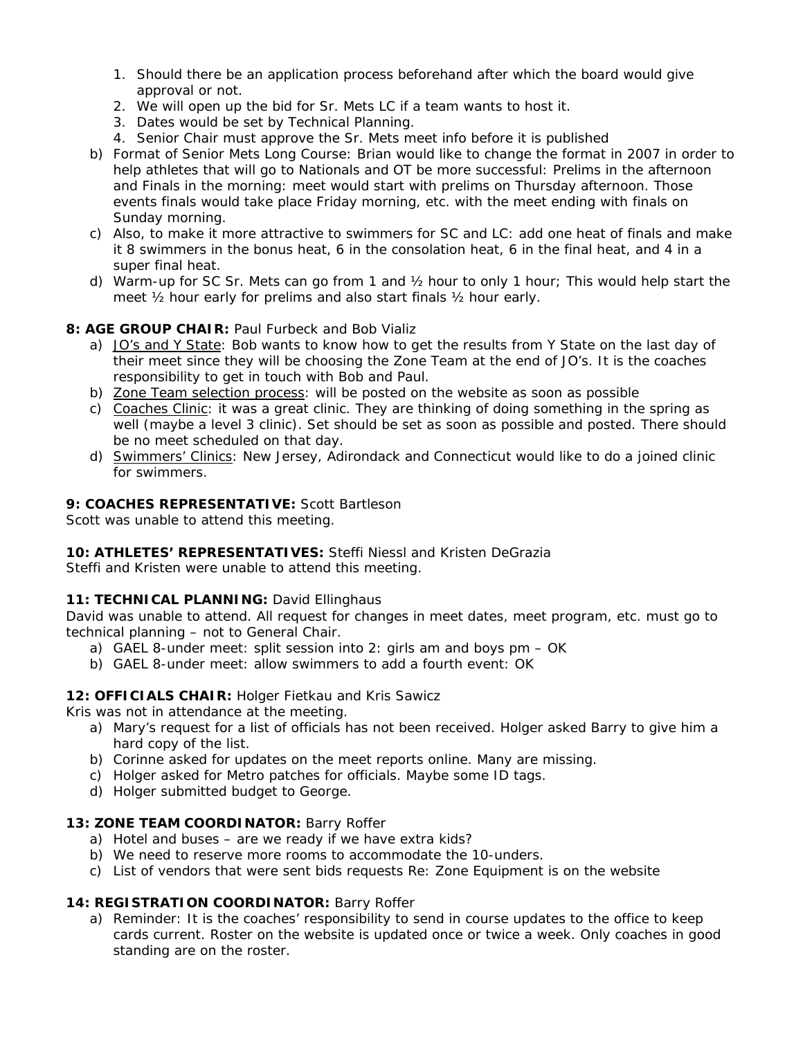- 1. Should there be an application process beforehand after which the board would give approval or not.
- 2. We will open up the bid for Sr. Mets LC if a team wants to host it.
- 3. Dates would be set by Technical Planning.
- 4. Senior Chair must approve the Sr. Mets meet info before it is published
- b) Format of Senior Mets Long Course: Brian would like to change the format in 2007 in order to help athletes that will go to Nationals and OT be more successful: Prelims in the afternoon and Finals in the morning: meet would start with prelims on Thursday afternoon. Those events finals would take place Friday morning, etc. with the meet ending with finals on Sunday morning.
- c) Also, to make it more attractive to swimmers for SC and LC: add one heat of finals and make it 8 swimmers in the bonus heat, 6 in the consolation heat, 6 in the final heat, and 4 in a super final heat.
- d) Warm-up for SC Sr. Mets can go from 1 and ½ hour to only 1 hour; This would help start the meet ½ hour early for prelims and also start finals ½ hour early.

## **8: AGE GROUP CHAIR: Paul Furbeck and Bob Vializ**

- a) JO's and Y State: Bob wants to know how to get the results from Y State on the last day of their meet since they will be choosing the Zone Team at the end of JO's. It is the coaches responsibility to get in touch with Bob and Paul.
- b) Zone Team selection process: will be posted on the website as soon as possible
- c) Coaches Clinic: it was a great clinic. They are thinking of doing something in the spring as well (maybe a level 3 clinic). Set should be set as soon as possible and posted. There should be no meet scheduled on that day.
- d) Swimmers' Clinics: New Jersey, Adirondack and Connecticut would like to do a joined clinic for swimmers.

## **9: COACHES REPRESENTATIVE:** Scott Bartleson

Scott was unable to attend this meeting.

#### **10: ATHLETES' REPRESENTATIVES:** Steffi Niessl and Kristen DeGrazia

Steffi and Kristen were unable to attend this meeting.

#### **11: TECHNICAL PLANNING:** David Ellinghaus

David was unable to attend. All request for changes in meet dates, meet program, etc. must go to technical planning – not to General Chair.

- a) GAEL 8-under meet: split session into 2: girls am and boys pm OK
- b) GAEL 8-under meet: allow swimmers to add a fourth event: OK

#### **12: OFFICIALS CHAIR:** Holger Fietkau and Kris Sawicz

Kris was not in attendance at the meeting.

- a) Mary's request for a list of officials has not been received. Holger asked Barry to give him a hard copy of the list.
- b) Corinne asked for updates on the meet reports online. Many are missing.
- c) Holger asked for Metro patches for officials. Maybe some ID tags.
- d) Holger submitted budget to George.

#### **13: ZONE TEAM COORDINATOR:** Barry Roffer

- a) Hotel and buses are we ready if we have extra kids?
- b) We need to reserve more rooms to accommodate the 10-unders.
- c) List of vendors that were sent bids requests Re: Zone Equipment is on the website

#### **14: REGISTRATION COORDINATOR:** Barry Roffer

a) Reminder: It is the coaches' responsibility to send in course updates to the office to keep cards current. Roster on the website is updated once or twice a week. Only coaches in good standing are on the roster.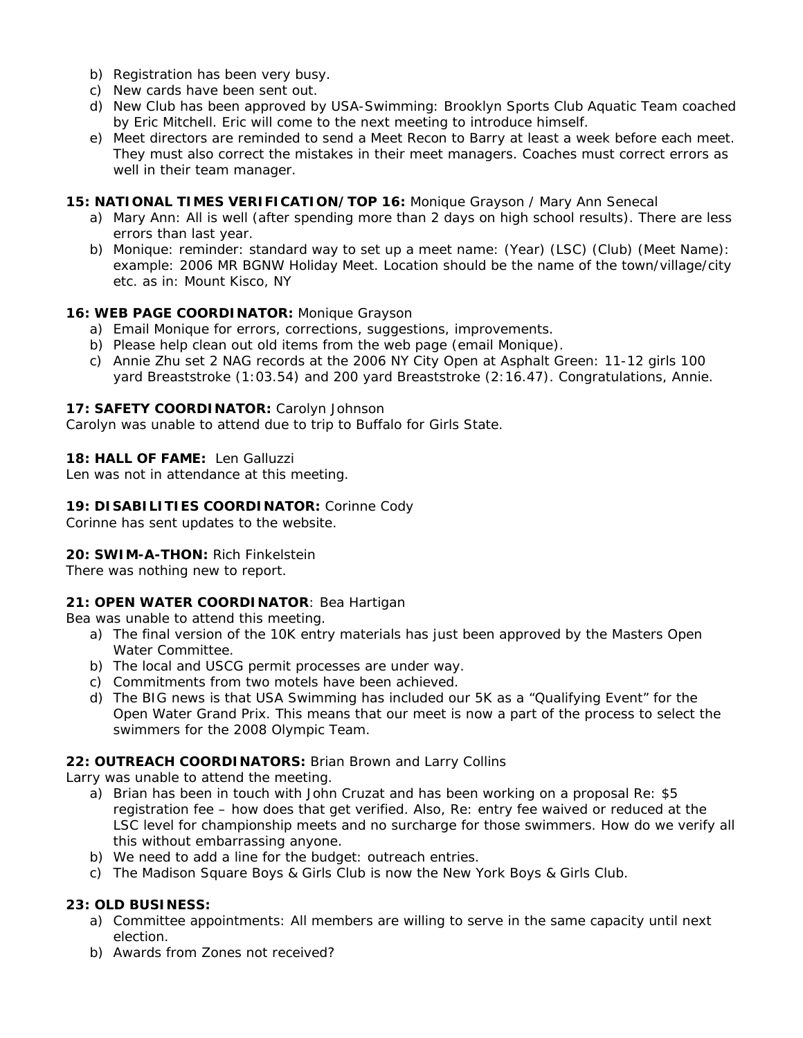- b) Registration has been very busy.
- c) New cards have been sent out.
- d) New Club has been approved by USA-Swimming: Brooklyn Sports Club Aquatic Team coached by Eric Mitchell. Eric will come to the next meeting to introduce himself.
- e) Meet directors are reminded to send a Meet Recon to Barry at least a week before each meet. They must also correct the mistakes in their meet managers. Coaches must correct errors as well in their team manager.

#### **15: NATIONAL TIMES VERIFICATION/TOP 16:** Monique Grayson / Mary Ann Senecal

- a) Mary Ann: All is well (after spending more than 2 days on high school results). There are less errors than last year.
- b) Monique: reminder: standard way to set up a meet name: (Year) (LSC) (Club) (Meet Name): example: 2006 MR BGNW Holiday Meet. Location should be the name of the town/village/city etc. as in: Mount Kisco, NY

## **16: WEB PAGE COORDINATOR:** Monique Grayson

- a) Email Monique for errors, corrections, suggestions, improvements.
- b) Please help clean out old items from the web page (email Monique).
- c) Annie Zhu set 2 NAG records at the 2006 NY City Open at Asphalt Green: 11-12 girls 100 yard Breaststroke (1:03.54) and 200 yard Breaststroke (2:16.47). Congratulations, Annie.

#### **17: SAFETY COORDINATOR:** Carolyn Johnson

Carolyn was unable to attend due to trip to Buffalo for Girls State.

## **18: HALL OF FAME:** Len Galluzzi

Len was not in attendance at this meeting.

## **19: DISABILITIES COORDINATOR:** Corinne Cody

Corinne has sent updates to the website.

# **20: SWIM-A-THON:** Rich Finkelstein

There was nothing new to report.

# **21: OPEN WATER COORDINATOR**: Bea Hartigan

Bea was unable to attend this meeting.

- a) The final version of the 10K entry materials has just been approved by the Masters Open Water Committee.
- b) The local and USCG permit processes are under way.
- c) Commitments from two motels have been achieved.
- d) The BIG news is that USA Swimming has included our 5K as a "Qualifying Event" for the Open Water Grand Prix. This means that our meet is now a part of the process to select the swimmers for the 2008 Olympic Team.

# **22: OUTREACH COORDINATORS:** Brian Brown and Larry Collins

Larry was unable to attend the meeting.

- a) Brian has been in touch with John Cruzat and has been working on a proposal Re: \$5 registration fee – how does that get verified. Also, Re: entry fee waived or reduced at the LSC level for championship meets and no surcharge for those swimmers. How do we verify all this without embarrassing anyone.
- b) We need to add a line for the budget: outreach entries.
- c) The Madison Square Boys & Girls Club is now the New York Boys & Girls Club.

# **23: OLD BUSINESS:**

- a) Committee appointments: All members are willing to serve in the same capacity until next election.
- b) Awards from Zones not received?